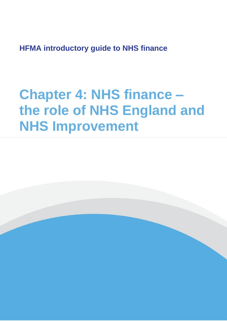**HFMA introductory guide to NHS finance**

# **Chapter 4: NHS finance – the role of NHS England and NHS Improvement**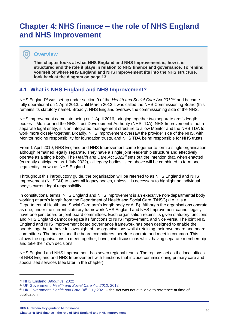# **Chapter 4: NHS finance – the role of NHS England and NHS Improvement**

# **Overview**

 $\bullet$ 

**This chapter looks at what NHS England and NHS Improvement is, how it is structured and the role it plays in relation to NHS finance and governance. To remind yourself of where NHS England and NHS Improvement fits into the NHS structure, look back at the diagram on page 13.**

# **4.1 What is NHS England and NHS Improvement?**

NHS England<sup>42</sup> was set up under section 9 of the *Health and Social Care Act 2012<sup>43</sup>* and became fully operational on 1 April 2013. Until March 2013 it was called the NHS Commissioning Board (this remains its statutory name). Broadly, NHS England oversaw the commissioning side of the NHS.

NHS Improvement came into being on 1 April 2016, bringing together two separate arm's length bodies – Monitor and the NHS Trust Development Authority (NHS TDA). NHS Improvement is not a separate legal entity, it is an integrated management structure to allow Monitor and the NHS TDA to work more closely together. Broadly, NHS Improvement oversaw the provider side of the NHS, with Monitor holding responsibility for foundation trusts, and NHS TDA being responsible for NHS trusts.

From 1 April 2019, NHS England and NHS Improvement came together to form a single organisation, although remained legally separate. They have a single joint leadership structure and effectively operate as a single body. The *Health and Care Act 2022<sup>44</sup>* sets out the intention that, when enacted (currently anticipated as 1 July 2022), all legacy bodies listed above will be combined to form one legal entity known as NHS England.

Throughout this introductory guide, the organisation will be referred to as NHS England and NHS Improvement (NHSE&I) to cover all legacy bodies, unless it is necessary to highlight an individual body's current legal responsibility.

In constitutional terms, NHS England and NHS Improvement is an executive non-departmental body working at arm's length from the Department of Health and Social Care (DHSC) (i.e. it is a Department of Health and Social Care arm's length body or ALB). Although the organisations operate as one, under the current statutory framework NHS England and NHS Improvement cannot legally have one joint board or joint board committees. Each organisation retains its given statutory functions and NHS England cannot delegate its functions to NHS Improvement, and vice versa. The joint NHS England and NHS Improvement board governance framework has been designed to enable the boards together to have full oversight of the organisations whilst retaining their own board and board committees. The boards and the board committees therefore operate and meet in common. This allows the organisations to meet together, have joint discussions whilst having separate membership and take their own decisions.

NHS England and NHS Improvement has seven regional teams. The regions act as the local offices of NHS England and NHS Improvement with functions that include commissioning primary care and specialised services (see later in the chapter).

<sup>42</sup> [NHS England,](https://www.england.nhs.uk/about/) *About us,* 2022

<sup>43</sup> UK Government, *[Health and Social Care Act 2012,](https://www.legislation.gov.uk/ukpga/2012/7/contents/enacted)* 2012

<sup>44</sup> UK Government, *[Health and Care Bill](https://bills.parliament.uk/bills/3022)*, July 2021 – the Act was not available to reference at time of publication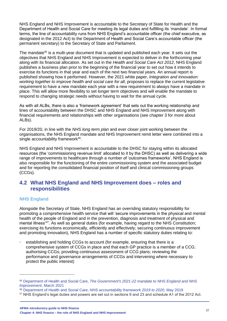NHS England and NHS Improvement is accountable to the Secretary of State for Health and the Department of Health and Social Care for meeting its legal duties and fulfilling its 'mandate'. In formal terms, the line of accountability runs from NHS England's accountable officer (the chief executive, as designated in the 2012 Act) to the Department of Health and Social Care's accountable officer (the permanent secretary) to the Secretary of State and Parliament.

The mandate<sup>45</sup> is a multi-year document that is updated and published each year. It sets out the objectives that NHS England and NHS Improvement is expected to deliver in the forthcoming year along with its financial allocation. As set out in the *Health and Social Care Act 2012*, NHS England publishes a business plan prior to the beginning of the financial year to set out how it intends to exercise its functions in that year and each of the next two financial years. An annual report is published showing how it performed. However, the 2021 white paper, *Integration and innovation: working together to improve health and social care for all*, proposes to replace the current legislative requirement to have a new mandate each year with a new requirement to always have a mandate in place. This will allow more flexibility to set longer term objectives and will enable the mandate to respond to changing strategic needs without having to wait for the annual cycle.

As with all ALBs, there is also a 'framework agreement' that sets out the working relationship and lines of accountability between the DHSC and NHS England and NHS Improvement along with financial requirements and relationships with other organisations (see chapter 3 for more about ALBs).

For 2019/20, in line with the *NHS long term plan* and ever closer joint working between the organisations, the NHS England mandate and NHS Improvement remit letter were combined into a single accountability framework<sup>46</sup>.

NHS England and NHS Improvement is accountable to the DHSC for staying within its allocated resources (the 'commissioning revenue limit' allocated to it by the DHSC) as well as delivering a wide range of improvements to healthcare through a number of 'outcomes frameworks'. NHS England is also responsible for the functioning of the entire commissioning system and the associated budget and for reporting the consolidated financial position of itself and clinical commissioning groups (CCGs).

## **4.2 What NHS England and NHS Improvement does – roles and responsibilities**

### **NHS England**

Alongside the Secretary of State, NHS England has an overriding statutory responsibility for promoting a comprehensive health service that will 'secure improvements in the physical and mental health of the people of England and in the prevention, diagnosis and treatment of physical and mental illness<sup>'47</sup>. As well as general duties (for example, having regard to the NHS Constitution; exercising its functions economically, efficiently and effectively; securing continuous improvement and promoting innovation), NHS England has a number of specific statutory duties relating to:

establishing and holding CCGs to account (for example, ensuring that there is a comprehensive system of CCGs in place and that each GP practice is a member of a CCG; authorising CCGs; providing continuous assessment of CCG plans; reviewing the performance and governance arrangements of CCGs and intervening where necessary to protect the public interest)

<sup>45</sup> Department of Health and Social Care, *[The Government's 2021-22 mandate to NHS England and NHS](https://assets.publishing.service.gov.uk/government/uploads/system/uploads/attachment_data/file/972947/The_government_s_2021_to_2022_mandate_to_NHS_England_and_NHS_Improvement.pdf)  Improvement*[, March 2021](https://assets.publishing.service.gov.uk/government/uploads/system/uploads/attachment_data/file/972947/The_government_s_2021_to_2022_mandate_to_NHS_England_and_NHS_Improvement.pdf)

<sup>46</sup> Department of Health and Social Care, *[NHS accountability framework 2019 to 2020](https://www.gov.uk/government/publications/nhs-accountability-framework-2019-to-2020)*, May 2019

<sup>47</sup> NHS England's legal duties and powers are set out in sections 9 and 23 and schedule A1 of the 2012 Act.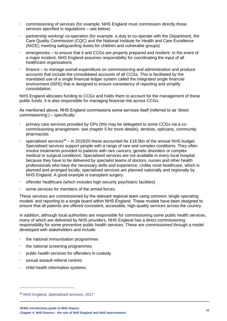- commissioning of services (for example, NHS England must commission directly those services specified in regulations – see below)
- partnership working/ co-operation (for example, a duty to co-operate with the Department, the Care Quality Commission (CQC) and the National Institute for Health and Care Excellence (NICE); meeting safeguarding duties for children and vulnerable groups)
- emergencies to ensure that it and CCGs are properly prepared and resilient. In the event of a major incident, NHS England assumes responsibility for coordinating the input of all healthcare organisations
- finance to manage overall expenditure on commissioning and administration and produce accounts that include the consolidated accounts of all CCGs. This is facilitated by the mandated use of a single financial ledger system called the integrated single financial environment (ISFE) that is designed to ensure consistency of reporting and simplify consolidation.

NHS England allocates funding to CCGs and holds them to account for the management of these public funds. It is also responsible for managing financial risk across CCGs.

As mentioned above, NHS England commissions some services itself (referred to as 'direct commissioning') – specifically:

- primary care services provided by GPs (this may be delegated to some CCGs via a cocommissioning arrangement- see chapter 5 for more details), dentists, opticians, community pharmacists
- specialised services<sup>48</sup> in 2019/20 these accounted for £18.5bn of the annual NHS budget. Specialised services support people with a range of rare and complex conditions. They often involve treatments provided to patients with rare cancers, genetic disorders or complex medical or surgical conditions. Specialised services are not available in every local hospital because they have to be delivered by specialist teams of doctors, nurses and other health professionals who have the necessary skills and experience. Unlike most healthcare, which is planned and arranged locally, specialised services are planned nationally and regionally by NHS England. A good example is transplant surgery.
- offender healthcare (which includes high security psychiatric facilities)
- some services for members of the armed forces.

These services are commissioned by the relevant regional team using common 'single operating models' and reporting to a single board within NHS England. These models have been designed to ensure that all patients are offered consistent, accessible, high-quality services across the country.

In addition, although local authorities are responsible for commissioning some public health services, many of which are delivered by NHS providers, NHS England has a direct commissioning responsibility for some preventive public health services. These are commissioned through a model developed with stakeholders and include:

- the national immunisation programmes
- the national screening programmes
- public health services for offenders in custody
- sexual assault referral centres
- child health information systems.

<sup>48</sup> NHS England, *[Specialised services,](https://www.england.nhs.uk/commissioning/spec-services/)* 2017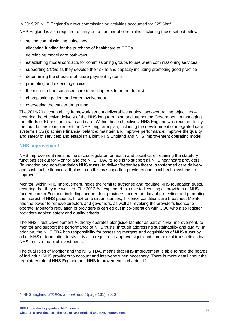In 2019/20 NHS England's direct commissioning activities accounted for £25.5bn<sup>49</sup>.

NHS England is also required to carry out a number of other roles, including those set out below:

- setting commissioning guidelines
- allocating funding for the purchase of healthcare to CCGs
- developing model care pathways
- establishing model contracts for commissioning groups to use when commissioning services
- supporting CCGs as they develop their skills and capacity including promoting good practice
- determining the structure of future payment systems
- promoting and extending choice
- the roll-out of personalised care (see chapter 5 for more details)
- championing patient and carer involvement
- overseeing the cancer drugs fund.

The 2019/20 accountability framework set out deliverables against two overarching objectives – ensuring the effective delivery of the NHS long term plan and supporting Government in managing the efforts of EU exit on health and care. Within these objectives, NHS England was required to lay the foundations to implement the NHS long term plan, including the development of integrated care systems (ICSs); achieve financial balance; maintain and improve performance; improve the quality and safety of services; and establish a joint NHS England and NHS Improvement operating model.

#### **NHS Improvement**

NHS Improvement remains the sector regulator for health and social care, retaining the statutory functions set out for Monitor and the NHS TDA. Its role is to support all NHS healthcare providers (foundation and non-foundation NHS trusts) to deliver 'better healthcare, transformed care delivery and sustainable finances'. It aims to do this by supporting providers and local health systems to improve.

Monitor, within NHS Improvement, holds the remit to authorise and regulate NHS foundation trusts, ensuring that they are well led. The 2012 Act expanded this role to licensing all providers of NHSfunded care in England, including independent providers, under the duty of protecting and promoting the interest of NHS patients. In extreme circumstances, if licence conditions are breached, Monitor has the power to remove directors and governors, as well as revoking the provider's licence to operate. Monitor's regulation of providers is carried out in co-operation with CQC who also register providers against safety and quality criteria.

The NHS Trust Development Authority operates alongside Monitor as part of NHS Improvement, to monitor and support the performance of NHS trusts, through addressing sustainability and quality. In addition, the NHS TDA has responsibility for assessing mergers and acquisitions of NHS trusts by other NHS or foundation trusts. It is also required to approve significant commercial transactions by NHS trusts, or capital investments.

The dual roles of Monitor and the NHS TDA, means that NHS Improvement is able to hold the boards of individual NHS providers to account and intervene when necessary. There is more detail about the regulatory role of NHS England and NHS Improvement in chapter 12.

<sup>49</sup> NHS England, *[2019/20 annual report](https://www.england.nhs.uk/wp-content/uploads/2021/01/nhs-england-annual-report-2019-20-full.pdf)* (page 161), 2020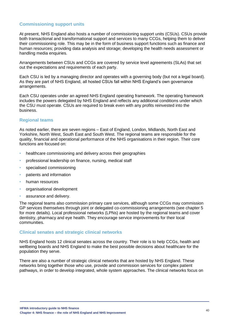#### **Commissioning support units**

At present, NHS England also hosts a number of commissioning support units (CSUs). CSUs provide both transactional and transformational support and services to many CCGs, helping them to deliver their commissioning role. This may be in the form of business support functions such as finance and human resources; providing data analysis and storage; developing the health needs assessment or handling media enquiries.

Arrangements between CSUs and CCGs are covered by service level agreements (SLAs) that set out the expectations and requirements of each party.

Each CSU is led by a managing director and operates with a governing body (but not a legal board). As they are part of NHS England, all hosted CSUs fall within NHS England's own governance arrangements.

Each CSU operates under an agreed NHS England operating framework. The operating framework includes the powers delegated by NHS England and reflects any additional conditions under which the CSU must operate. CSUs are required to break even with any profits reinvested into the business.

#### **Regional teams**

As noted earlier, there are seven regions – East of England, London, Midlands, North East and Yorkshire, North West, South East and South West. The regional teams are responsible for the quality, financial and operational performance of the NHS organisations in their region. Their core functions are focused on:

- healthcare commissioning and delivery across their geographies
- professional leadership on finance, nursing, medical staff
- specialised commissioning
- patients and information
- human resources
- organisational development
- assurance and delivery.

The regional teams also commission primary care services, although some CCGs may commission GP services themselves through joint or delegated co-commissioning arrangements (see chapter 5 for more details). Local professional networks (LPNs) are hosted by the regional teams and cover dentistry, pharmacy and eye health. They encourage service improvements for their local communities.

#### **Clinical senates and strategic clinical networks**

NHS England hosts 12 clinical senates across the country. Their role is to help CCGs, health and wellbeing boards and NHS England to make the best possible decisions about healthcare for the population they serve.

There are also a number of strategic clinical networks that are hosted by NHS England. These networks bring together those who use, provide and commission services for complex patient pathways, in order to develop integrated, whole system approaches. The clinical networks focus on